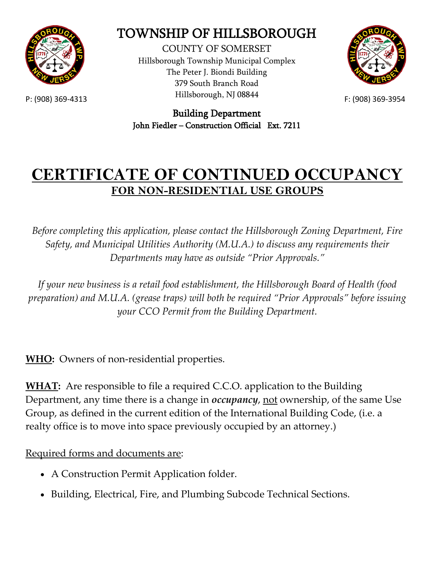

## TOWNSHIP OF HILLSBOROUGH

P: (908) 369-4313 **Examples** F: (908) 369-3954 COUNTY OF SOMERSET Hillsborough Township Municipal Complex The Peter J. Biondi Building 379 South Branch Road Hillsborough, NJ 08844



Building Department John Fiedler – Construction Official Ext. 7211

## **CERTIFICATE OF CONTINUED OCCUPANCY FOR NON-RESIDENTIAL USE GROUPS**

*Before completing this application, please contact the Hillsborough Zoning Department, Fire Safety, and Municipal Utilities Authority (M.U.A.) to discuss any requirements their Departments may have as outside "Prior Approvals."*

*If your new business is a retail food establishment, the Hillsborough Board of Health (food preparation) and M.U.A. (grease traps) will both be required "Prior Approvals" before issuing your CCO Permit from the Building Department.*

**WHO:** Owners of non-residential properties.

**WHAT:** Are responsible to file a required C.C.O. application to the Building Department, any time there is a change in *occupancy*, not ownership, of the same Use Group, as defined in the current edition of the International Building Code, (i.e. a realty office is to move into space previously occupied by an attorney.)

Required forms and documents are:

- A Construction Permit Application folder.
- Building, Electrical, Fire, and Plumbing Subcode Technical Sections.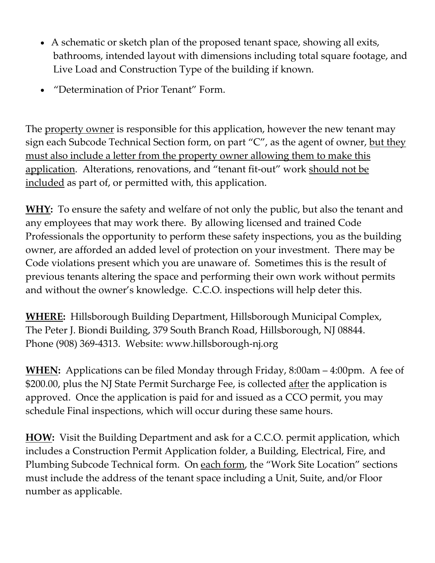- A schematic or sketch plan of the proposed tenant space, showing all exits, bathrooms, intended layout with dimensions including total square footage, and Live Load and Construction Type of the building if known.
- "Determination of Prior Tenant" Form.

The property owner is responsible for this application, however the new tenant may sign each Subcode Technical Section form, on part " $C$ ", as the agent of owner, but they must also include a letter from the property owner allowing them to make this application. Alterations, renovations, and "tenant fit-out" work should not be included as part of, or permitted with, this application.

**WHY:** To ensure the safety and welfare of not only the public, but also the tenant and any employees that may work there. By allowing licensed and trained Code Professionals the opportunity to perform these safety inspections, you as the building owner, are afforded an added level of protection on your investment. There may be Code violations present which you are unaware of. Sometimes this is the result of previous tenants altering the space and performing their own work without permits and without the owner's knowledge. C.C.O. inspections will help deter this.

**WHERE:** Hillsborough Building Department, Hillsborough Municipal Complex, The Peter J. Biondi Building, 379 South Branch Road, Hillsborough, NJ 08844. Phone (908) 369-4313. Website: www.hillsborough-nj.org

**WHEN:** Applications can be filed Monday through Friday, 8:00am – 4:00pm. A fee of \$200.00, plus the NJ State Permit Surcharge Fee, is collected after the application is approved. Once the application is paid for and issued as a CCO permit, you may schedule Final inspections, which will occur during these same hours.

**HOW:** Visit the Building Department and ask for a C.C.O. permit application, which includes a Construction Permit Application folder, a Building, Electrical, Fire, and Plumbing Subcode Technical form. On each form, the "Work Site Location" sections must include the address of the tenant space including a Unit, Suite, and/or Floor number as applicable.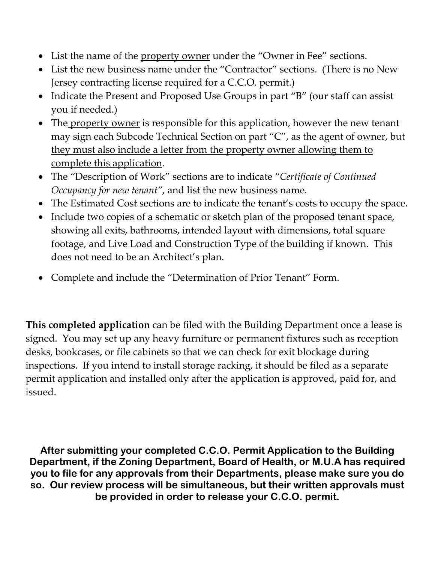- List the name of the property owner under the "Owner in Fee" sections.
- List the new business name under the "Contractor" sections. (There is no New Jersey contracting license required for a C.C.O. permit.)
- Indicate the Present and Proposed Use Groups in part "B" (our staff can assist you if needed.)
- The property owner is responsible for this application, however the new tenant may sign each Subcode Technical Section on part "C", as the agent of owner, but they must also include a letter from the property owner allowing them to complete this application.
- The "Description of Work" sections are to indicate "*Certificate of Continued Occupancy for new tenant"*, and list the new business name.
- The Estimated Cost sections are to indicate the tenant's costs to occupy the space.
- Include two copies of a schematic or sketch plan of the proposed tenant space, showing all exits, bathrooms, intended layout with dimensions, total square footage, and Live Load and Construction Type of the building if known. This does not need to be an Architect's plan.
- Complete and include the "Determination of Prior Tenant" Form.

**This completed application** can be filed with the Building Department once a lease is signed. You may set up any heavy furniture or permanent fixtures such as reception desks, bookcases, or file cabinets so that we can check for exit blockage during inspections. If you intend to install storage racking, it should be filed as a separate permit application and installed only after the application is approved, paid for, and issued.

**After submitting your completed C.C.O. Permit Application to the Building Department, if the Zoning Department, Board of Health, or M.U.A has required you to file for any approvals from their Departments, please make sure you do so. Our review process will be simultaneous, but their written approvals must be provided in order to release your C.C.O. permit.**